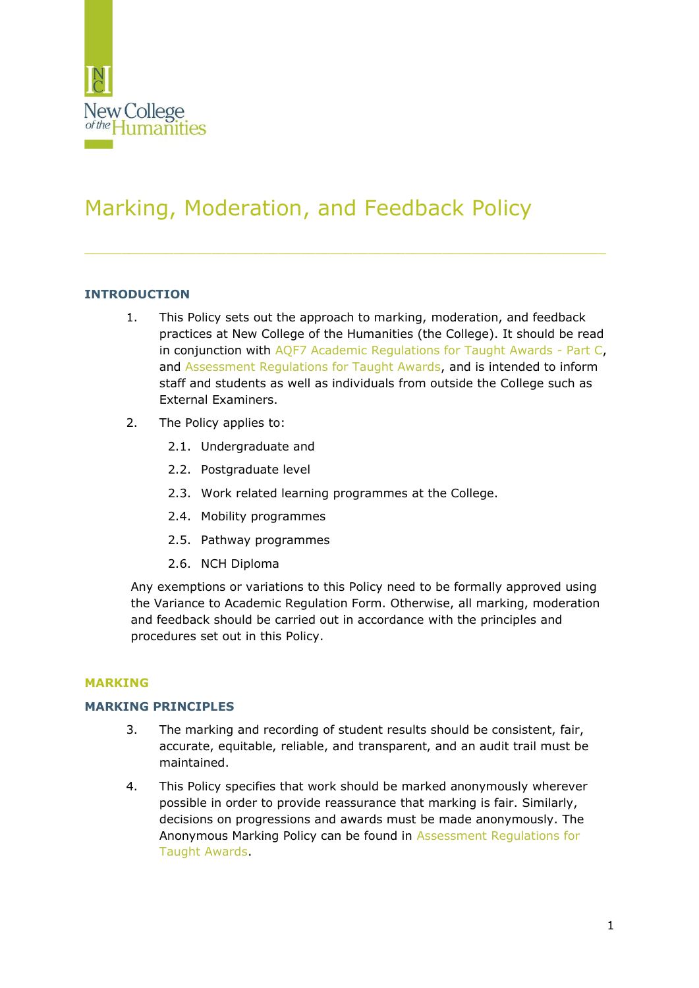

# Marking, Moderation, and Feedback Policy

# **INTRODUCTION**

- 1. This Policy sets out the approach to marking, moderation, and feedback practices at New College of the Humanities (the College). It should be read in conjunction with [AQF7 Academic Regulations for Taught Awards -](https://www.nchlondon.ac.uk/about-us/academic-handbook/academic-framework/) Part C, and [Assessment Regulations for Taught Awards,](https://www.nchlondon.ac.uk/about-us/academic-handbook/nch-policies-and-procedures/academic-policies/) and is intended to inform staff and students as well as individuals from outside the College such as External Examiners.
- 2. The Policy applies to:
	- 2.1. Undergraduate and
	- 2.2. Postgraduate level
	- 2.3. Work related learning programmes at the College.
	- 2.4. Mobility programmes
	- 2.5. Pathway programmes
	- 2.6. NCH Diploma

Any exemptions or variations to this Policy need to be formally approved using the Variance to Academic Regulation Form. Otherwise, all marking, moderation and feedback should be carried out in accordance with the principles and procedures set out in this Policy.

# **MARKING**

# **MARKING PRINCIPLES**

- 3. The marking and recording of student results should be consistent, fair, accurate, equitable, reliable, and transparent, and an audit trail must be maintained.
- 4. This Policy specifies that work should be marked anonymously wherever possible in order to provide reassurance that marking is fair. Similarly, decisions on progressions and awards must be made anonymously. The Anonymous Marking Policy can be found in [Assessment Regulations for](https://www.nchlondon.ac.uk/about-us/academic-handbook/nch-policies-and-procedures/academic-policies/)  [Taught Awards.](https://www.nchlondon.ac.uk/about-us/academic-handbook/nch-policies-and-procedures/academic-policies/)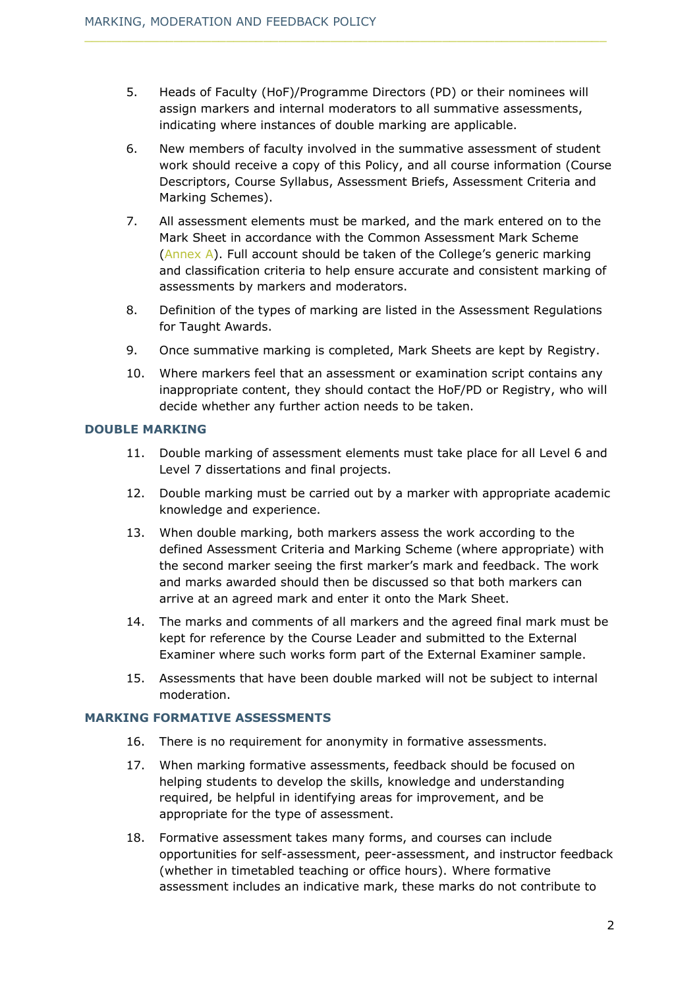- 5. Heads of Faculty (HoF)/Programme Directors (PD) or their nominees will assign markers and internal moderators to all summative assessments, indicating where instances of double marking are applicable.
- 6. New members of faculty involved in the summative assessment of student work should receive a copy of this Policy, and all course information (Course Descriptors, Course Syllabus, Assessment Briefs, Assessment Criteria and Marking Schemes).
- 7. All assessment elements must be marked, and the mark entered on to the Mark Sheet in accordance with the Common Assessment Mark Scheme [\(Annex A](#page-7-0)). Full account should be taken of the College's generic marking and classification criteria to help ensure accurate and consistent marking of assessments by markers and moderators.
- 8. Definition of the types of marking are listed in the Assessment Regulations for Taught Awards.
- 9. Once summative marking is completed, Mark Sheets are kept by Registry.
- 10. Where markers feel that an assessment or examination script contains any inappropriate content, they should contact the HoF/PD or Registry, who will decide whether any further action needs to be taken.

# **DOUBLE MARKING**

- 11. Double marking of assessment elements must take place for all Level 6 and Level 7 dissertations and final projects.
- 12. Double marking must be carried out by a marker with appropriate academic knowledge and experience.
- 13. When double marking, both markers assess the work according to the defined Assessment Criteria and Marking Scheme (where appropriate) with the second marker seeing the first marker's mark and feedback. The work and marks awarded should then be discussed so that both markers can arrive at an agreed mark and enter it onto the Mark Sheet.
- 14. The marks and comments of all markers and the agreed final mark must be kept for reference by the Course Leader and submitted to the External Examiner where such works form part of the External Examiner sample.
- 15. Assessments that have been double marked will not be subject to internal moderation.

#### **MARKING FORMATIVE ASSESSMENTS**

- 16. There is no requirement for anonymity in formative assessments.
- 17. When marking formative assessments, feedback should be focused on helping students to develop the skills, knowledge and understanding required, be helpful in identifying areas for improvement, and be appropriate for the type of assessment.
- 18. Formative assessment takes many forms, and courses can include opportunities for self-assessment, peer-assessment, and instructor feedback (whether in timetabled teaching or office hours). Where formative assessment includes an indicative mark, these marks do not contribute to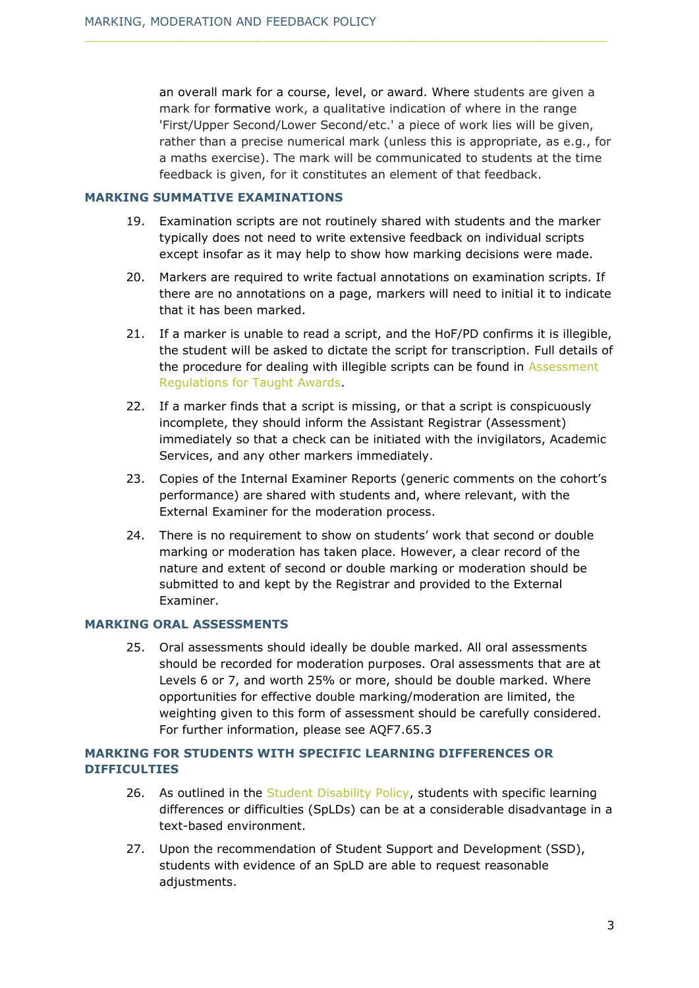an overall mark for a course, level, or award. Where students are given a mark for formative work, a qualitative indication of where in the range 'First/Upper Second/Lower Second/etc.' a piece of work lies will be given, rather than a precise numerical mark (unless this is appropriate, as e.g., for a maths exercise). The mark will be communicated to students at the time feedback is given, for it constitutes an element of that feedback.

#### **MARKING SUMMATIVE EXAMINATIONS**

- 19. Examination scripts are not routinely shared with students and the marker typically does not need to write extensive feedback on individual scripts except insofar as it may help to show how marking decisions were made.
- 20. Markers are required to write factual annotations on examination scripts. If there are no annotations on a page, markers will need to initial it to indicate that it has been marked.
- 21. If a marker is unable to read a script, and the HoF/PD confirms it is illegible, the student will be asked to dictate the script for transcription. Full details of the procedure for dealing with illegible scripts can be found in [Assessment](https://www.nchlondon.ac.uk/about-us/academic-handbook/nch-policies-and-procedures/academic-policies/)  [Regulations for Taught Awards.](https://www.nchlondon.ac.uk/about-us/academic-handbook/nch-policies-and-procedures/academic-policies/)
- 22. If a marker finds that a script is missing, or that a script is conspicuously incomplete, they should inform the Assistant Registrar (Assessment) immediately so that a check can be initiated with the invigilators, Academic Services, and any other markers immediately.
- 23. Copies of the Internal Examiner Reports (generic comments on the cohort's performance) are shared with students and, where relevant, with the External Examiner for the moderation process.
- 24. There is no requirement to show on students' work that second or double marking or moderation has taken place. However, a clear record of the nature and extent of second or double marking or moderation should be submitted to and kept by the Registrar and provided to the External Examiner.

# **MARKING ORAL ASSESSMENTS**

25. Oral assessments should ideally be double marked. All oral assessments should be recorded for moderation purposes. Oral assessments that are at Levels 6 or 7, and worth 25% or more, should be double marked. Where opportunities for effective double marking/moderation are limited, the weighting given to this form of assessment should be carefully considered. For further information, please see AQF7.65.3

# **MARKING FOR STUDENTS WITH SPECIFIC LEARNING DIFFERENCES OR DIFFICULTIES**

- 26. As outlined in the [Student Disability Policy,](https://www.nchlondon.ac.uk/about-us/academic-handbook/nch-policies-and-procedures/nch-general/) students with specific learning differences or difficulties (SpLDs) can be at a considerable disadvantage in a text-based environment.
- 27. Upon the recommendation of Student Support and Development (SSD), students with evidence of an SpLD are able to request reasonable adjustments.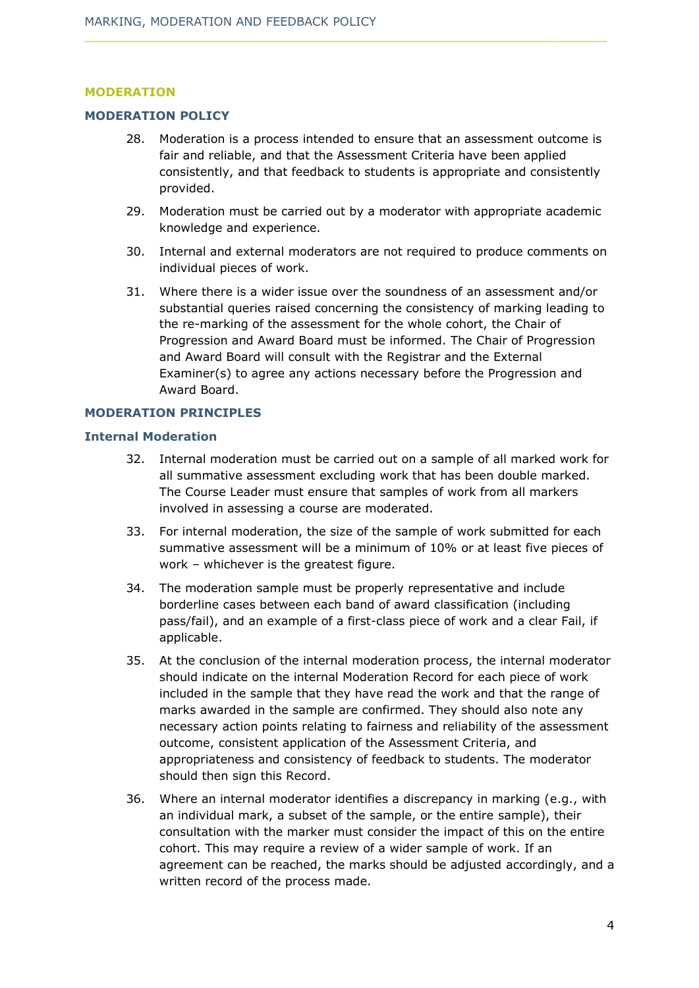#### **MODERATION**

#### **MODERATION POLICY**

- 28. Moderation is a process intended to ensure that an assessment outcome is fair and reliable, and that the Assessment Criteria have been applied consistently, and that feedback to students is appropriate and consistently provided.
- 29. Moderation must be carried out by a moderator with appropriate academic knowledge and experience.
- 30. Internal and external moderators are not required to produce comments on individual pieces of work.
- 31. Where there is a wider issue over the soundness of an assessment and/or substantial queries raised concerning the consistency of marking leading to the re-marking of the assessment for the whole cohort, the Chair of Progression and Award Board must be informed. The Chair of Progression and Award Board will consult with the Registrar and the External Examiner(s) to agree any actions necessary before the Progression and Award Board.

#### **MODERATION PRINCIPLES**

#### **Internal Moderation**

- 32. Internal moderation must be carried out on a sample of all marked work for all summative assessment excluding work that has been double marked. The Course Leader must ensure that samples of work from all markers involved in assessing a course are moderated.
- 33. For internal moderation, the size of the sample of work submitted for each summative assessment will be a minimum of 10% or at least five pieces of work – whichever is the greatest figure.
- 34. The moderation sample must be properly representative and include borderline cases between each band of award classification (including pass/fail), and an example of a first-class piece of work and a clear Fail, if applicable.
- 35. At the conclusion of the internal moderation process, the internal moderator should indicate on the internal Moderation Record for each piece of work included in the sample that they have read the work and that the range of marks awarded in the sample are confirmed. They should also note any necessary action points relating to fairness and reliability of the assessment outcome, consistent application of the Assessment Criteria, and appropriateness and consistency of feedback to students. The moderator should then sign this Record.
- 36. Where an internal moderator identifies a discrepancy in marking (e.g., with an individual mark, a subset of the sample, or the entire sample), their consultation with the marker must consider the impact of this on the entire cohort. This may require a review of a wider sample of work. If an agreement can be reached, the marks should be adjusted accordingly, and a written record of the process made.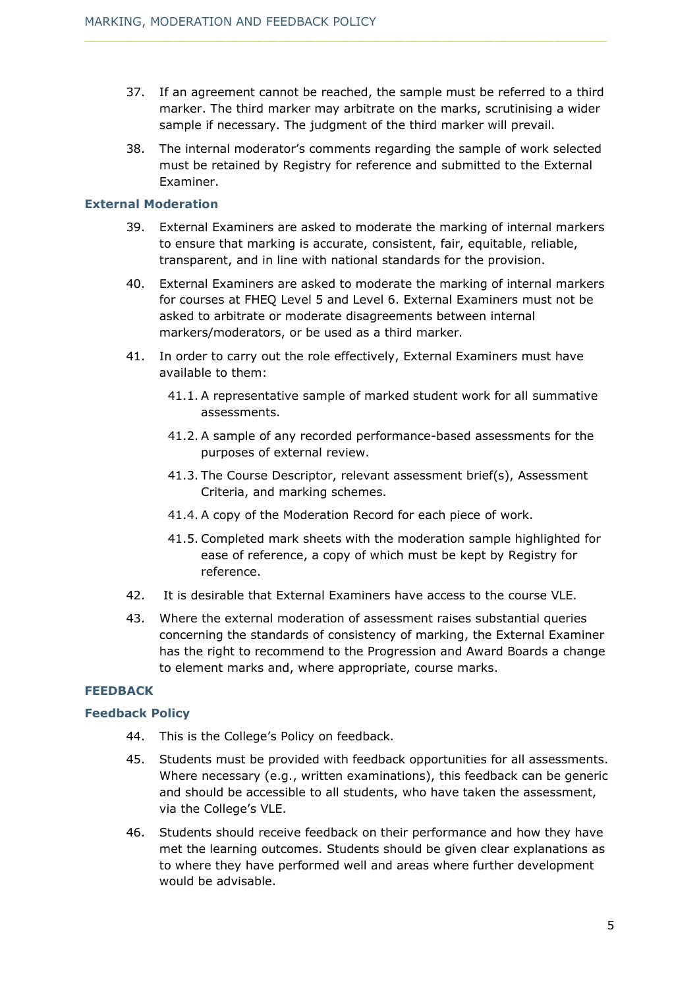- 37. If an agreement cannot be reached, the sample must be referred to a third marker. The third marker may arbitrate on the marks, scrutinising a wider sample if necessary. The judgment of the third marker will prevail.
- 38. The internal moderator's comments regarding the sample of work selected must be retained by Registry for reference and submitted to the External Examiner.

#### **External Moderation**

- 39. External Examiners are asked to moderate the marking of internal markers to ensure that marking is accurate, consistent, fair, equitable, reliable, transparent, and in line with national standards for the provision.
- 40. External Examiners are asked to moderate the marking of internal markers for courses at FHEQ Level 5 and Level 6. External Examiners must not be asked to arbitrate or moderate disagreements between internal markers/moderators, or be used as a third marker.
- 41. In order to carry out the role effectively, External Examiners must have available to them:
	- 41.1. A representative sample of marked student work for all summative assessments.
	- 41.2. A sample of any recorded performance-based assessments for the purposes of external review.
	- 41.3. The Course Descriptor, relevant assessment brief(s), Assessment Criteria, and marking schemes.
	- 41.4. A copy of the Moderation Record for each piece of work.
	- 41.5. Completed mark sheets with the moderation sample highlighted for ease of reference, a copy of which must be kept by Registry for reference.
- 42. It is desirable that External Examiners have access to the course VLE.
- 43. Where the external moderation of assessment raises substantial queries concerning the standards of consistency of marking, the External Examiner has the right to recommend to the Progression and Award Boards a change to element marks and, where appropriate, course marks.

# **FEEDBACK**

# **Feedback Policy**

- 44. This is the College's Policy on feedback.
- 45. Students must be provided with feedback opportunities for all assessments. Where necessary (e.g., written examinations), this feedback can be generic and should be accessible to all students, who have taken the assessment, via the College's VLE.
- 46. Students should receive feedback on their performance and how they have met the learning outcomes. Students should be given clear explanations as to where they have performed well and areas where further development would be advisable.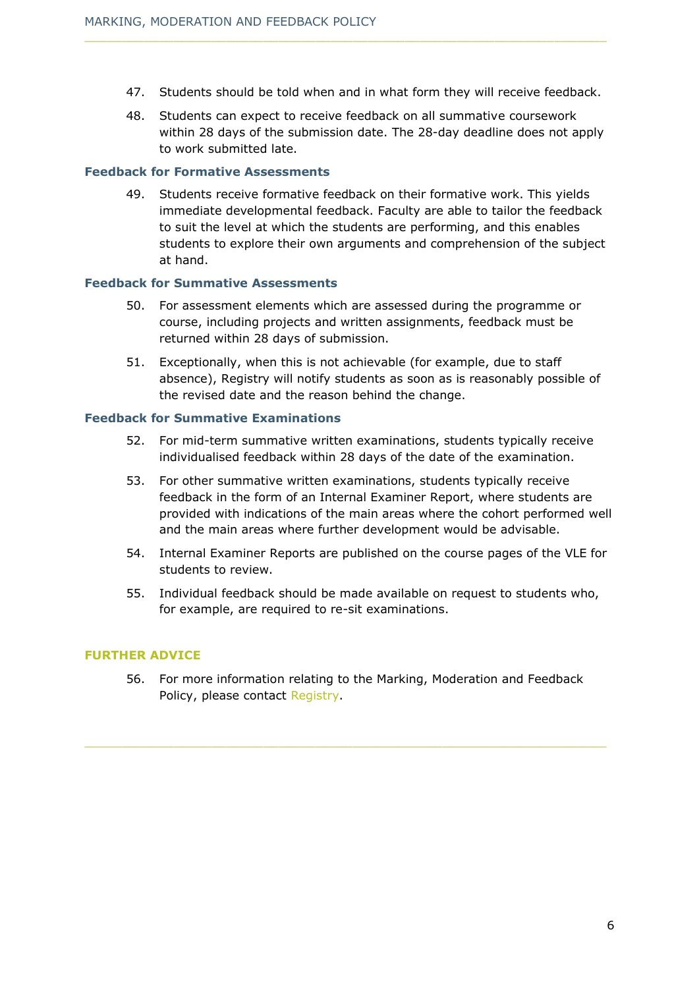- 47. Students should be told when and in what form they will receive feedback.
- 48. Students can expect to receive feedback on all summative coursework within 28 days of the submission date. The 28-day deadline does not apply to work submitted late.

#### **Feedback for Formative Assessments**

49. Students receive formative feedback on their formative work. This yields immediate developmental feedback. Faculty are able to tailor the feedback to suit the level at which the students are performing, and this enables students to explore their own arguments and comprehension of the subject at hand.

#### **Feedback for Summative Assessments**

- 50. For assessment elements which are assessed during the programme or course, including projects and written assignments, feedback must be returned within 28 days of submission.
- 51. Exceptionally, when this is not achievable (for example, due to staff absence), Registry will notify students as soon as is reasonably possible of the revised date and the reason behind the change.

#### **Feedback for Summative Examinations**

- 52. For mid-term summative written examinations, students typically receive individualised feedback within 28 days of the date of the examination.
- 53. For other summative written examinations, students typically receive feedback in the form of an Internal Examiner Report, where students are provided with indications of the main areas where the cohort performed well and the main areas where further development would be advisable.
- 54. Internal Examiner Reports are published on the course pages of the VLE for students to review.
- 55. Individual feedback should be made available on request to students who, for example, are required to re-sit examinations.

#### **FURTHER ADVICE**

56. For more information relating to the Marking, Moderation and Feedback Policy, please contact [Registry.](mailto:registry@nchlondon.ac.uk)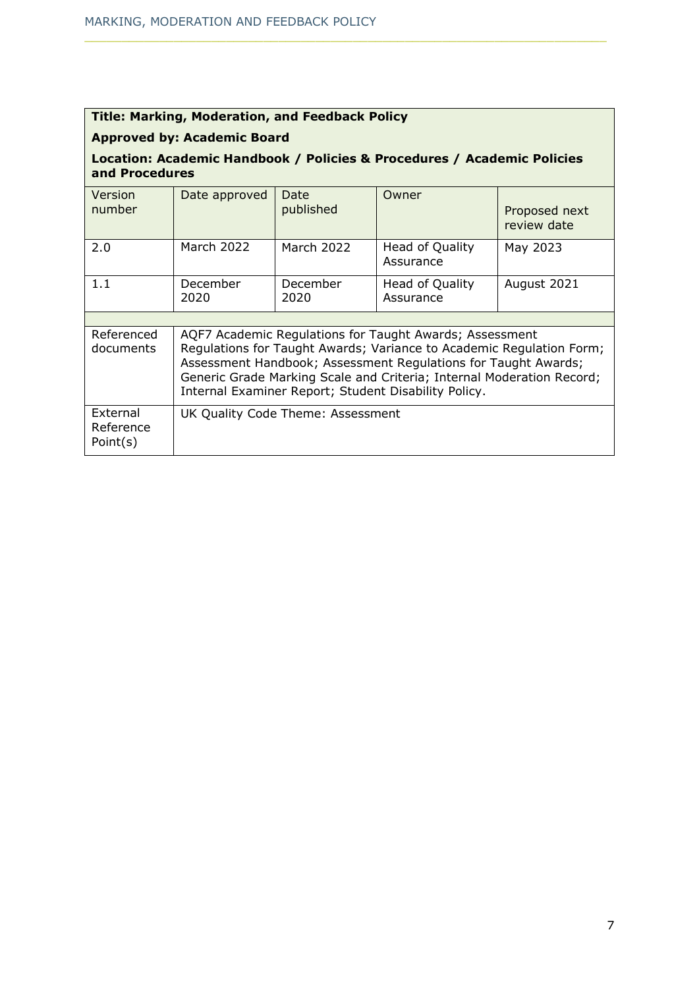| <b>Title: Marking, Moderation, and Feedback Policy</b>                                    |                                                                                                                                                                                                                                                                                                                                    |                   |                              |                              |  |  |  |  |  |
|-------------------------------------------------------------------------------------------|------------------------------------------------------------------------------------------------------------------------------------------------------------------------------------------------------------------------------------------------------------------------------------------------------------------------------------|-------------------|------------------------------|------------------------------|--|--|--|--|--|
| <b>Approved by: Academic Board</b>                                                        |                                                                                                                                                                                                                                                                                                                                    |                   |                              |                              |  |  |  |  |  |
| Location: Academic Handbook / Policies & Procedures / Academic Policies<br>and Procedures |                                                                                                                                                                                                                                                                                                                                    |                   |                              |                              |  |  |  |  |  |
| Version<br>number                                                                         | Date approved                                                                                                                                                                                                                                                                                                                      | Date<br>published | Owner                        | Proposed next<br>review date |  |  |  |  |  |
| 2.0                                                                                       | March 2022                                                                                                                                                                                                                                                                                                                         | March 2022        | Head of Quality<br>Assurance | May 2023                     |  |  |  |  |  |
| 1.1                                                                                       | December<br>2020                                                                                                                                                                                                                                                                                                                   | December<br>2020  | Head of Quality<br>Assurance | August 2021                  |  |  |  |  |  |
|                                                                                           |                                                                                                                                                                                                                                                                                                                                    |                   |                              |                              |  |  |  |  |  |
| Referenced<br>documents                                                                   | AQF7 Academic Regulations for Taught Awards; Assessment<br>Regulations for Taught Awards; Variance to Academic Regulation Form;<br>Assessment Handbook; Assessment Regulations for Taught Awards;<br>Generic Grade Marking Scale and Criteria; Internal Moderation Record;<br>Internal Examiner Report; Student Disability Policy. |                   |                              |                              |  |  |  |  |  |
| External<br>Reference<br>Point(s)                                                         | UK Quality Code Theme: Assessment                                                                                                                                                                                                                                                                                                  |                   |                              |                              |  |  |  |  |  |